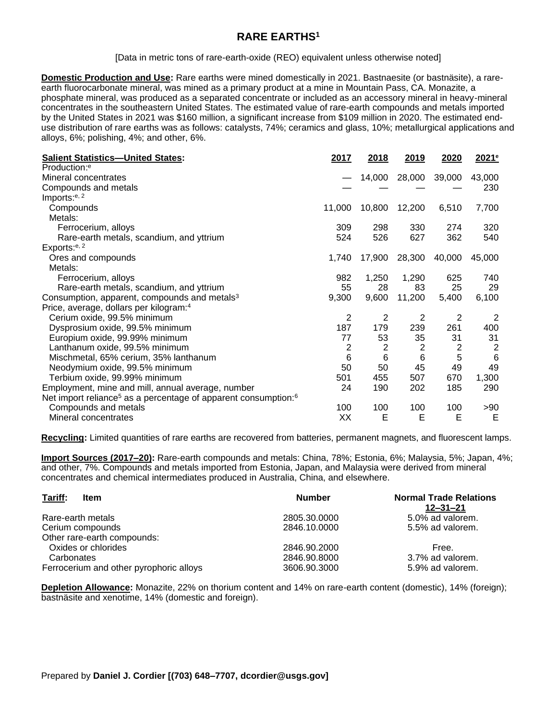## **RARE EARTHS<sup>1</sup>**

[Data in metric tons of rare-earth-oxide (REO) equivalent unless otherwise noted]

**Domestic Production and Use:** Rare earths were mined domestically in 2021. Bastnaesite (or bastnäsite), a rareearth fluorocarbonate mineral, was mined as a primary product at a mine in Mountain Pass, CA. Monazite, a phosphate mineral, was produced as a separated concentrate or included as an accessory mineral in heavy-mineral concentrates in the southeastern United States. The estimated value of rare-earth compounds and metals imported by the United States in 2021 was \$160 million, a significant increase from \$109 million in 2020. The estimated enduse distribution of rare earths was as follows: catalysts, 74%; ceramics and glass, 10%; metallurgical applications and alloys, 6%; polishing, 4%; and other, 6%.

| <b>Salient Statistics-United States:</b>                                               | 2017   | 2018           | 2019           | 2020           | 2021 <sup>e</sup> |
|----------------------------------------------------------------------------------------|--------|----------------|----------------|----------------|-------------------|
| Production: <sup>e</sup>                                                               |        |                |                |                |                   |
| Mineral concentrates                                                                   |        | 14,000         | 28,000         | 39,000         | 43,000            |
| Compounds and metals                                                                   |        |                |                |                | 230               |
| Imports: <sup>e, 2</sup>                                                               |        |                |                |                |                   |
| Compounds                                                                              | 11,000 | 10,800         | 12,200         | 6,510          | 7,700             |
| Metals:                                                                                |        |                |                |                |                   |
| Ferrocerium, alloys                                                                    | 309    | 298            | 330            | 274            | 320               |
| Rare-earth metals, scandium, and yttrium                                               | 524    | 526            | 627            | 362            | 540               |
| Exports: <sup>e, 2</sup>                                                               |        |                |                |                |                   |
| Ores and compounds                                                                     | 1,740  | 17,900         | 28,300         | 40,000         | 45,000            |
| Metals:                                                                                |        |                |                |                |                   |
| Ferrocerium, alloys                                                                    | 982    | 1,250          | 1,290          | 625            | 740               |
| Rare-earth metals, scandium, and yttrium                                               | 55     | 28             | 83             | 25             | 29                |
| Consumption, apparent, compounds and metals <sup>3</sup>                               | 9,300  | 9,600          | 11,200         | 5,400          | 6,100             |
| Price, average, dollars per kilogram: <sup>4</sup>                                     |        |                |                |                |                   |
| Cerium oxide, 99.5% minimum                                                            | 2      | 2              | 2              | $\overline{2}$ | 2                 |
| Dysprosium oxide, 99.5% minimum                                                        | 187    | 179            | 239            | 261            | 400               |
| Europium oxide, 99.99% minimum                                                         | 77     | 53             | 35             | 31             | 31                |
| Lanthanum oxide, 99.5% minimum                                                         | 2      | $\overline{2}$ | $\overline{2}$ | 2              | $\overline{c}$    |
| Mischmetal, 65% cerium, 35% lanthanum                                                  | 6      | 6              | 6              | 5              | $6\phantom{a}$    |
| Neodymium oxide, 99.5% minimum                                                         | 50     | 50             | 45             | 49             | 49                |
| Terbium oxide, 99.99% minimum                                                          | 501    | 455            | 507            | 670            | 1,300             |
| Employment, mine and mill, annual average, number                                      | 24     | 190            | 202            | 185            | 290               |
| Net import reliance <sup>5</sup> as a percentage of apparent consumption: <sup>6</sup> |        |                |                |                |                   |
| Compounds and metals                                                                   | 100    | 100            | 100            | 100            | > 90              |
| Mineral concentrates                                                                   | XX     | Е              | Е              | Е              | Е                 |

**Recycling:** Limited quantities of rare earths are recovered from batteries, permanent magnets, and fluorescent lamps.

**Import Sources (2017–20):** Rare-earth compounds and metals: China, 78%; Estonia, 6%; Malaysia, 5%; Japan, 4%; and other, 7%. Compounds and metals imported from Estonia, Japan, and Malaysia were derived from mineral concentrates and chemical intermediates produced in Australia, China, and elsewhere.

| Tariff:<br><b>Item</b>                  | <b>Number</b> | <b>Normal Trade Relations</b><br>12–31–21 |
|-----------------------------------------|---------------|-------------------------------------------|
| Rare-earth metals                       | 2805.30.0000  | 5.0% ad valorem.                          |
| Cerium compounds                        | 2846.10.0000  | 5.5% ad valorem.                          |
| Other rare-earth compounds:             |               |                                           |
| Oxides or chlorides                     | 2846.90.2000  | Free.                                     |
| Carbonates                              | 2846.90.8000  | 3.7% ad valorem.                          |
| Ferrocerium and other pyrophoric alloys | 3606.90.3000  | 5.9% ad valorem.                          |

**Depletion Allowance:** Monazite, 22% on thorium content and 14% on rare-earth content (domestic), 14% (foreign); bastnäsite and xenotime, 14% (domestic and foreign).